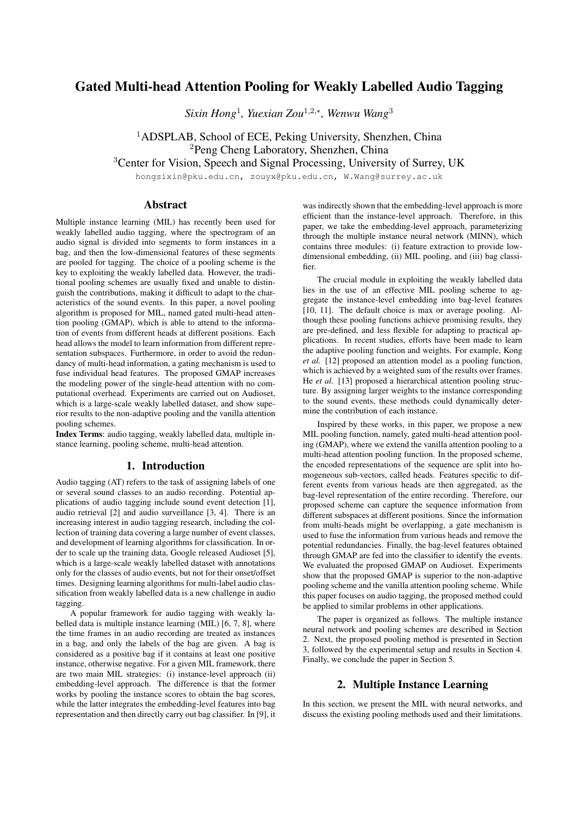# Gated Multi-head Attention Pooling for Weakly Labelled Audio Tagging

*Sixin Hong*<sup>1</sup>*, Yuexian Zou*<sup>1</sup>,2,∗*, Wenwu Wang*<sup>3</sup>

<sup>1</sup>ADSPLAB, School of ECE, Peking University, Shenzhen, China <sup>2</sup>Peng Cheng Laboratory, Shenzhen, China

<sup>3</sup>Center for Vision, Speech and Signal Processing, University of Surrey, UK

hongsixin@pku.edu.cn, zouyx@pku.edu.cn, W.Wang@surrey.ac.uk

### Abstract

Multiple instance learning (MIL) has recently been used for weakly labelled audio tagging, where the spectrogram of an audio signal is divided into segments to form instances in a bag, and then the low-dimensional features of these segments are pooled for tagging. The choice of a pooling scheme is the key to exploiting the weakly labelled data. However, the traditional pooling schemes are usually fixed and unable to distinguish the contributions, making it difficult to adapt to the characteristics of the sound events. In this paper, a novel pooling algorithm is proposed for MIL, named gated multi-head attention pooling (GMAP), which is able to attend to the information of events from different heads at different positions. Each head allows the model to learn information from different representation subspaces. Furthermore, in order to avoid the redundancy of multi-head information, a gating mechanism is used to fuse individual head features. The proposed GMAP increases the modeling power of the single-head attention with no computational overhead. Experiments are carried out on Audioset, which is a large-scale weakly labelled dataset, and show superior results to the non-adaptive pooling and the vanilla attention pooling schemes.

Index Terms: audio tagging, weakly labelled data, multiple instance learning, pooling scheme, multi-head attention.

### 1. Introduction

Audio tagging (AT) refers to the task of assigning labels of one or several sound classes to an audio recording. Potential applications of audio tagging include sound event detection [1], audio retrieval [2] and audio surveillance [3, 4]. There is an increasing interest in audio tagging research, including the collection of training data covering a large number of event classes, and development of learning algorithms for classification. In order to scale up the training data, Google released Audioset [5], which is a large-scale weakly labelled dataset with annotations only for the classes of audio events, but not for their onset/offset times. Designing learning algorithms for multi-label audio classification from weakly labelled data is a new challenge in audio tagging.

A popular framework for audio tagging with weakly labelled data is multiple instance learning (MIL) [6, 7, 8], where the time frames in an audio recording are treated as instances in a bag, and only the labels of the bag are given. A bag is considered as a positive bag if it contains at least one positive instance, otherwise negative. For a given MIL framework, there are two main MIL strategies: (i) instance-level approach (ii) embedding-level approach. The difference is that the former works by pooling the instance scores to obtain the bag scores, while the latter integrates the embedding-level features into bag representation and then directly carry out bag classifier. In [9], it

was indirectly shown that the embedding-level approach is more efficient than the instance-level approach. Therefore, in this paper, we take the embedding-level approach, parameterizing through the multiple instance neural network (MINN), which contains three modules: (i) feature extraction to provide lowdimensional embedding, (ii) MIL pooling, and (iii) bag classifier.

The crucial module in exploiting the weakly labelled data lies in the use of an effective MIL pooling scheme to aggregate the instance-level embedding into bag-level features [10, 11]. The default choice is max or average pooling. Although these pooling functions achieve promising results, they are pre-defined, and less flexible for adapting to practical applications. In recent studies, efforts have been made to learn the adaptive pooling function and weights. For example, Kong *et al.* [12] proposed an attention model as a pooling function, which is achieved by a weighted sum of the results over frames. He *et al.* [13] proposed a hierarchical attention pooling structure. By assigning larger weights to the instance corresponding to the sound events, these methods could dynamically determine the contribution of each instance.

Inspired by these works, in this paper, we propose a new MIL pooling function, namely, gated multi-head attention pooling (GMAP), where we extend the vanilla attention pooling to a multi-head attention pooling function. In the proposed scheme, the encoded representations of the sequence are split into homogeneous sub-vectors, called heads. Features specific to different events from various heads are then aggregated, as the bag-level representation of the entire recording. Therefore, our proposed scheme can capture the sequence information from different subspaces at different positions. Since the information from multi-heads might be overlapping, a gate mechanism is used to fuse the information from various heads and remove the potential redundancies. Finally, the bag-level features obtained through GMAP are fed into the classifier to identify the events. We evaluated the proposed GMAP on Audioset. Experiments show that the proposed GMAP is superior to the non-adaptive pooling scheme and the vanilla attention pooling scheme. While this paper focuses on audio tagging, the proposed method could be applied to similar problems in other applications.

The paper is organized as follows. The multiple instance neural network and pooling schemes are described in Section 2. Next, the proposed pooling method is presented in Section 3, followed by the experimental setup and results in Section 4. Finally, we conclude the paper in Section 5.

## 2. Multiple Instance Learning

In this section, we present the MIL with neural networks, and discuss the existing pooling methods used and their limitations.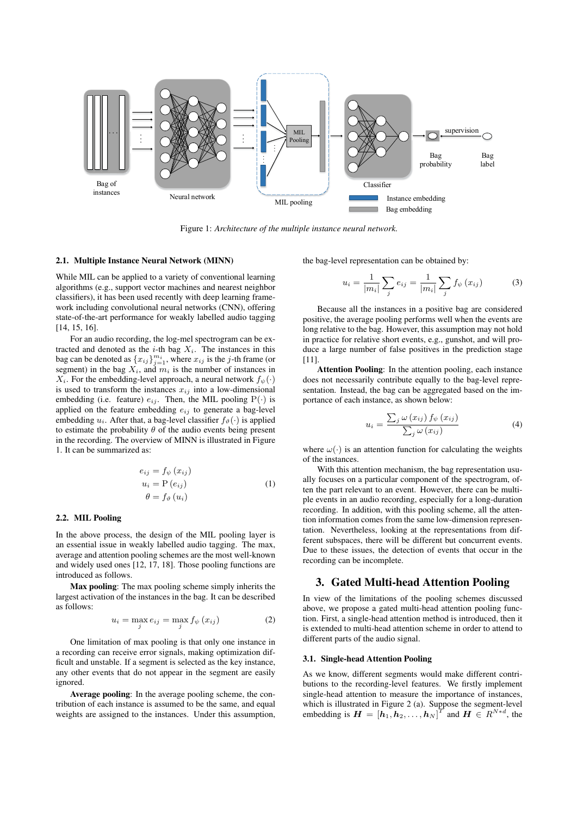

Figure 1: *Architecture of the multiple instance neural network.*

### 2.1. Multiple Instance Neural Network (MINN)

While MIL can be applied to a variety of conventional learning algorithms (e.g., support vector machines and nearest neighbor classifiers), it has been used recently with deep learning framework including convolutional neural networks (CNN), offering state-of-the-art performance for weakly labelled audio tagging [14, 15, 16].

For an audio recording, the log-mel spectrogram can be extracted and denoted as the  $i$ -th bag  $X_i$ . The instances in this bag can be denoted as  $\{x_{ij}\}_{j=1}^{m_i}$ , where  $x_{ij}$  is the j-th frame (or segment) in the bag  $X_i$  and  $m_i$  is the number of instances in segment) in the bag  $X_i$ , and  $m_i$  is the number of instances in  $X_i$ . For the embedding-level approach, a neural network  $f_{\psi}(\cdot)$ is used to transform the instances  $x_{ij}$  into a low-dimensional embedding (i.e. feature)  $e_{ij}$ . Then, the MIL pooling  $P(\cdot)$  is applied on the feature embedding  $e_{ij}$  to generate a bag-level embedding  $u_i$ . After that, a bag-level classifier  $f_{\vartheta}(\cdot)$  is applied to estimate the probability  $\theta$  of the audio events being present in the recording. The overview of MINN is illustrated in Figure 1. It can be summarized as:

$$
e_{ij} = f_{\psi}(x_{ij})
$$
  
\n
$$
u_i = P(e_{ij})
$$
  
\n
$$
\theta = f_{\theta}(u_i)
$$
\n(1)

#### 2.2. MIL Pooling

In the above process, the design of the MIL pooling layer is an essential issue in weakly labelled audio tagging. The max, average and attention pooling schemes are the most well-known and widely used ones [12, 17, 18]. Those pooling functions are introduced as follows.

Max pooling: The max pooling scheme simply inherits the largest activation of the instances in the bag. It can be described as follows:

$$
u_i = \max_j e_{ij} = \max_j f_{\psi}(x_{ij})
$$
 (2)

One limitation of max pooling is that only one instance in a recording can receive error signals, making optimization difficult and unstable. If a segment is selected as the key instance, any other events that do not appear in the segment are easily ignored.

Average pooling: In the average pooling scheme, the contribution of each instance is assumed to be the same, and equal weights are assigned to the instances. Under this assumption, the bag-level representation can be obtained by:

$$
u_i = \frac{1}{|m_i|} \sum_j e_{ij} = \frac{1}{|m_i|} \sum_j f_{\psi}(x_{ij})
$$
 (3)

Because all the instances in a positive bag are considered positive, the average pooling performs well when the events are long relative to the bag. However, this assumption may not hold in practice for relative short events, e.g., gunshot, and will produce a large number of false positives in the prediction stage [11].

Attention Pooling: In the attention pooling, each instance does not necessarily contribute equally to the bag-level representation. Instead, the bag can be aggregated based on the importance of each instance, as shown below:

$$
u_i = \frac{\sum_j \omega(x_{ij}) f_{\psi}(x_{ij})}{\sum_j \omega(x_{ij})}
$$
(4)

where  $\omega(\cdot)$  is an attention function for calculating the weights of the instances.

With this attention mechanism, the bag representation usually focuses on a particular component of the spectrogram, often the part relevant to an event. However, there can be multiple events in an audio recording, especially for a long-duration recording. In addition, with this pooling scheme, all the attention information comes from the same low-dimension representation. Nevertheless, looking at the representations from different subspaces, there will be different but concurrent events. Due to these issues, the detection of events that occur in the recording can be incomplete.

### 3. Gated Multi-head Attention Pooling

In view of the limitations of the pooling schemes discussed above, we propose a gated multi-head attention pooling function. First, a single-head attention method is introduced, then it is extended to multi-head attention scheme in order to attend to different parts of the audio signal.

#### 3.1. Single-head Attention Pooling

As we know, different segments would make different contributions to the recording-level features. We firstly implement single-head attention to measure the importance of instances, which is illustrated in Figure 2 (a). Suppose the segment-level embedding is  $\mathbf{H} = \begin{bmatrix} h_1, h_2, \dots, h_N \end{bmatrix}^T$  and  $\mathbf{H} \in \mathbb{R}^{N*d}$ , the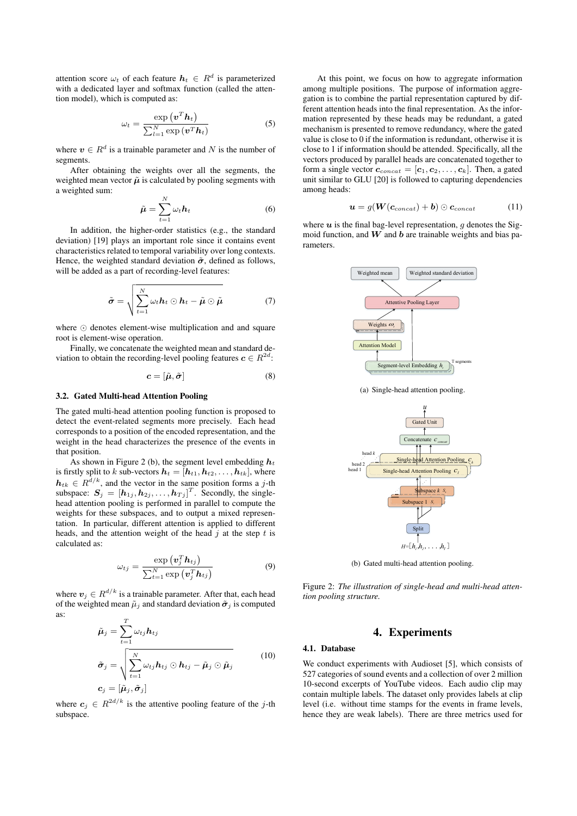attention score  $\omega_t$  of each feature  $h_t \in R^d$  is parameterized with a dedicated layer and softmax function (called the attention model), which is computed as:

$$
\omega_t = \frac{\exp\left(\boldsymbol{v}^T \boldsymbol{h}_t\right)}{\sum_{l=1}^N \exp\left(\boldsymbol{v}^T \boldsymbol{h}_t\right)}
$$
(5)

where  $v \in R^d$  is a trainable parameter and N is the number of segments.

After obtaining the weights over all the segments, the weighted mean vector  $\tilde{\mu}$  is calculated by pooling segments with a weighted sum:  $\lambda$ 

$$
\tilde{\boldsymbol{\mu}} = \sum_{t=1}^{N} \omega_t \boldsymbol{h}_t \tag{6}
$$

In addition, the higher-order statistics (e.g., the standard deviation) [19] plays an important role since it contains event characteristics related to temporal variability over long contexts. Hence, the weighted standard deviation  $\tilde{\sigma}$ , defined as follows, will be added as a part of recording-level features:

$$
\tilde{\boldsymbol{\sigma}} = \sqrt{\sum_{t=1}^{N} \omega_t \boldsymbol{h}_t \odot \boldsymbol{h}_t - \tilde{\boldsymbol{\mu}} \odot \tilde{\boldsymbol{\mu}}}
$$
(7)

where  $\odot$  denotes element-wise multiplication and and square root is element-wise operation.

Finally, we concatenate the weighted mean and standard deviation to obtain the recording-level pooling features  $c \in R^{2d}$ .

$$
\mathbf{c} = [\tilde{\boldsymbol{\mu}}, \tilde{\boldsymbol{\sigma}}] \tag{8}
$$

### 3.2. Gated Multi-head Attention Pooling

The gated multi-head attention pooling function is proposed to detect the event-related segments more precisely. Each head corresponds to a position of the encoded representation, and the weight in the head characterizes the presence of the events in that position.

As shown in Figure 2 (b), the segment level embedding  $h_t$ is firstly split to k sub-vectors  $h_t = [h_{t1}, h_{t2}, \ldots, h_{tk}]$ , where  $h_{tk} \in R^{\tilde{d}/k}$ , and the vector in the same position forms a j-th subspace:  $S_j = [h_{1j}, h_{2j}, \dots, h_{Tj}]^T$ . Secondly, the single-<br>head attention pooling is performed in parallel to compute the head attention pooling is performed in parallel to compute the weights for these subspaces, and to output a mixed representation. In particular, different attention is applied to different heads, and the attention weight of the head  $j$  at the step  $t$  is calculated as:

$$
\omega_{tj} = \frac{\exp\left(\boldsymbol{v}_{j}^{T} \boldsymbol{h}_{tj}\right)}{\sum_{t=1}^{N} \exp\left(\boldsymbol{v}_{j}^{T} \boldsymbol{h}_{tj}\right)}
$$
(9)

where  $v_j \in R^{d/k}$  is a trainable parameter. After that, each head of the weighted mean  $\tilde{\mu}_i$  and standard deviation  $\tilde{\sigma}_i$  is computed as:

$$
\tilde{\boldsymbol{\mu}}_{j} = \sum_{t=1}^{T} \omega_{tj} \boldsymbol{h}_{tj}
$$
\n
$$
\tilde{\boldsymbol{\sigma}}_{j} = \sqrt{\sum_{t=1}^{N} \omega_{tj} \boldsymbol{h}_{tj} \odot \boldsymbol{h}_{tj} - \tilde{\boldsymbol{\mu}}_{j} \odot \tilde{\boldsymbol{\mu}}_{j}} \qquad (10)
$$
\n
$$
\boldsymbol{c}_{j} = [\tilde{\boldsymbol{\mu}}_{j}, \tilde{\boldsymbol{\sigma}}_{j}]
$$

where  $c_j \in R^{2d/k}$  is the attentive pooling feature of the j-th subspace subspace.

At this point, we focus on how to aggregate information among multiple positions. The purpose of information aggregation is to combine the partial representation captured by different attention heads into the final representation. As the information represented by these heads may be redundant, a gated mechanism is presented to remove redundancy, where the gated value is close to 0 if the information is redundant, otherwise it is close to 1 if information should be attended. Specifically, all the vectors produced by parallel heads are concatenated together to form a single vector  $\mathbf{c}_{concat} = [\mathbf{c}_1, \mathbf{c}_2, \dots, \mathbf{c}_k]$ . Then, a gated unit similar to GLU [20] is followed to capturing dependencies among heads:

$$
\boldsymbol{u} = g(\boldsymbol{W}(\boldsymbol{c}_{concat}) + \boldsymbol{b}) \odot \boldsymbol{c}_{concat} \qquad (11)
$$

where  $u$  is the final bag-level representation,  $g$  denotes the Sigmoid function, and  $W$  and  $b$  are trainable weights and bias parameters.



(a) Single-head attention pooling.



(b) Gated multi-head attention pooling.

Figure 2: *The illustration of single-head and multi-head attention pooling structure.*

### 4. Experiments

#### 4.1. Database

We conduct experiments with Audioset [5], which consists of 527 categories of sound events and a collection of over 2 million 10-second excerpts of YouTube videos. Each audio clip may contain multiple labels. The dataset only provides labels at clip level (i.e. without time stamps for the events in frame levels, hence they are weak labels). There are three metrics used for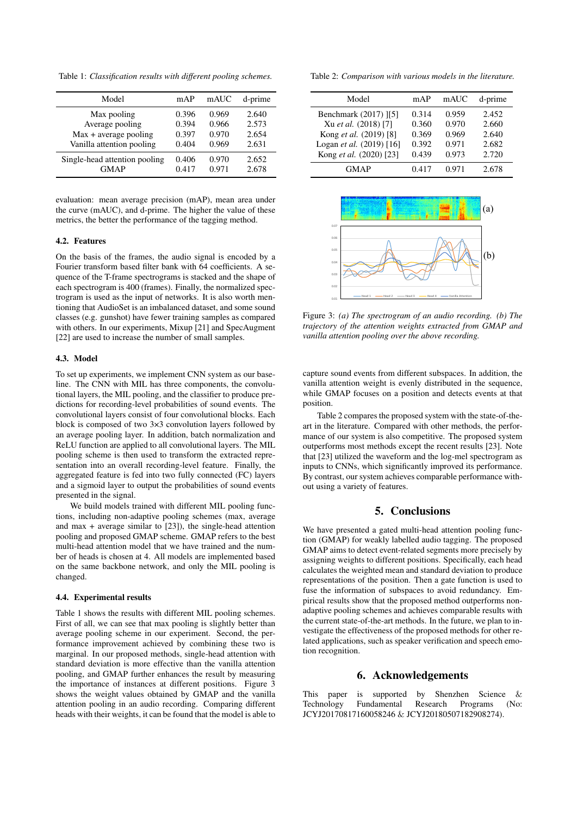Table 1: *Classification results with different pooling schemes.*

| Model                                                   | mAP                     | mAUC                    | d-prime                 |
|---------------------------------------------------------|-------------------------|-------------------------|-------------------------|
| Max pooling<br>Average pooling<br>Max + average pooling | 0.396<br>0.394<br>0.397 | 0.969<br>0.966<br>0.970 | 2.640<br>2.573<br>2.654 |
| Vanilla attention pooling                               | 0.404                   | 0.969                   | 2.631                   |
| Single-head attention pooling<br><b>GMAP</b>            | 0.406<br>0.417          | 0.970<br>0.971          | 2.652<br>2.678          |

evaluation: mean average precision (mAP), mean area under the curve (mAUC), and d-prime. The higher the value of these metrics, the better the performance of the tagging method.

### 4.2. Features

On the basis of the frames, the audio signal is encoded by a Fourier transform based filter bank with 64 coefficients. A sequence of the T-frame spectrograms is stacked and the shape of each spectrogram is 400 (frames). Finally, the normalized spectrogram is used as the input of networks. It is also worth mentioning that AudioSet is an imbalanced dataset, and some sound classes (e.g. gunshot) have fewer training samples as compared with others. In our experiments, Mixup [21] and SpecAugment [22] are used to increase the number of small samples.

#### 4.3. Model

To set up experiments, we implement CNN system as our baseline. The CNN with MIL has three components, the convolutional layers, the MIL pooling, and the classifier to produce predictions for recording-level probabilities of sound events. The convolutional layers consist of four convolutional blocks. Each block is composed of two 3×3 convolution layers followed by an average pooling layer. In addition, batch normalization and ReLU function are applied to all convolutional layers. The MIL pooling scheme is then used to transform the extracted representation into an overall recording-level feature. Finally, the aggregated feature is fed into two fully connected (FC) layers and a sigmoid layer to output the probabilities of sound events presented in the signal.

We build models trained with different MIL pooling functions, including non-adaptive pooling schemes (max, average and max  $+$  average similar to  $[23]$ ), the single-head attention pooling and proposed GMAP scheme. GMAP refers to the best multi-head attention model that we have trained and the number of heads is chosen at 4. All models are implemented based on the same backbone network, and only the MIL pooling is changed.

#### 4.4. Experimental results

Table 1 shows the results with different MIL pooling schemes. First of all, we can see that max pooling is slightly better than average pooling scheme in our experiment. Second, the performance improvement achieved by combining these two is marginal. In our proposed methods, single-head attention with standard deviation is more effective than the vanilla attention pooling, and GMAP further enhances the result by measuring the importance of instances at different positions. Figure 3 shows the weight values obtained by GMAP and the vanilla attention pooling in an audio recording. Comparing different heads with their weights, it can be found that the model is able to

Table 2: *Comparison with various models in the literature.*

| Model                    | mAP   | mAUC  | d-prime |
|--------------------------|-------|-------|---------|
| Benchmark (2017) [5]     | 0.314 | 0.959 | 2.452   |
| Xu et al. (2018) [7]     | 0.360 | 0.970 | 2.660   |
| Kong et al. (2019) [8]   | 0.369 | 0.969 | 2.640   |
| Logan et al. (2019) [16] | 0.392 | 0.971 | 2.682   |
| Kong et al. (2020) [23]  | 0.439 | 0.973 | 2.720   |
| GMAP                     | 0.417 | 0.971 | 2.678   |



Figure 3: *(a) The spectrogram of an audio recording. (b) The trajectory of the attention weights extracted from GMAP and vanilla attention pooling over the above recording.*

capture sound events from different subspaces. In addition, the vanilla attention weight is evenly distributed in the sequence, while GMAP focuses on a position and detects events at that position.

Table 2 compares the proposed system with the state-of-theart in the literature. Compared with other methods, the performance of our system is also competitive. The proposed system outperforms most methods except the recent results [23]. Note that [23] utilized the waveform and the log-mel spectrogram as inputs to CNNs, which significantly improved its performance. By contrast, our system achieves comparable performance without using a variety of features.

### 5. Conclusions

We have presented a gated multi-head attention pooling function (GMAP) for weakly labelled audio tagging. The proposed GMAP aims to detect event-related segments more precisely by assigning weights to different positions. Specifically, each head calculates the weighted mean and standard deviation to produce representations of the position. Then a gate function is used to fuse the information of subspaces to avoid redundancy. Empirical results show that the proposed method outperforms nonadaptive pooling schemes and achieves comparable results with the current state-of-the-art methods. In the future, we plan to investigate the effectiveness of the proposed methods for other related applications, such as speaker verification and speech emotion recognition.

### 6. Acknowledgements

This paper is supported by Shenzhen Science & Technology Fundamental Research Programs (No: JCYJ20170817160058246 & JCYJ20180507182908274).